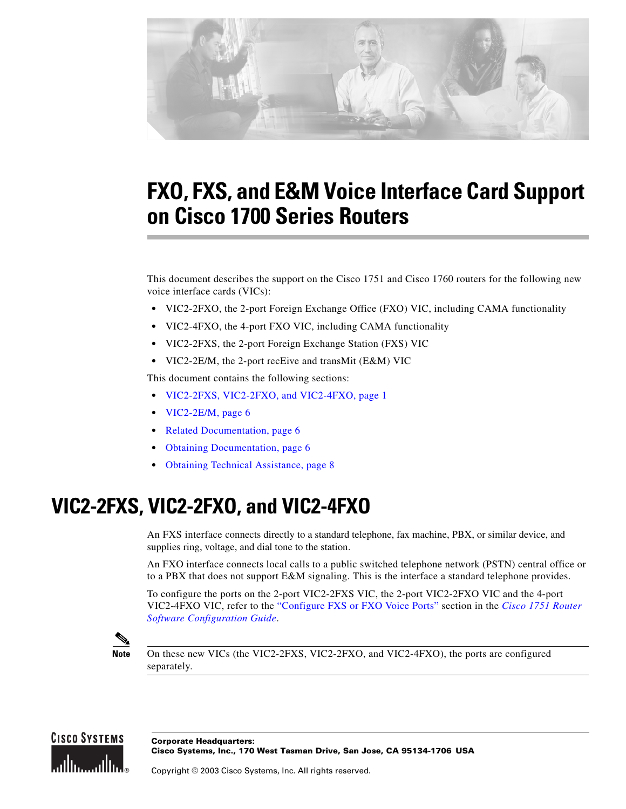

# **FXO, FXS, and E&M Voice Interface Card Support on Cisco 1700 Series Routers**

This document describes the support on the Cisco 1751 and Cisco 1760 routers for the following new voice interface cards (VICs):

- **•** VIC2-2FXO, the 2-port Foreign Exchange Office (FXO) VIC, including CAMA functionality
- **•** VIC2-4FXO, the 4-port FXO VIC, including CAMA functionality
- **•** VIC2-2FXS, the 2-port Foreign Exchange Station (FXS) VIC
- **•** VIC2-2E/M, the 2-port recEive and transMit (E&M) VIC

This document contains the following sections:

- **•** [VIC2-2FXS, VIC2-2FXO, and VIC2-4FXO, page 1](#page-0-0)
- **•** [VIC2-2E/M, page 6](#page-5-0)
- **•** [Related Documentation, page 6](#page-5-1)
- **•** [Obtaining Documentation, page 6](#page-5-2)
- **•** [Obtaining Technical Assistance, page 8](#page-7-0)

## <span id="page-0-0"></span>**VIC2-2FXS, VIC2-2FXO, and VIC2-4FXO**

An FXS interface connects directly to a standard telephone, fax machine, PBX, or similar device, and supplies ring, voltage, and dial tone to the station.

An FXO interface connects local calls to a public switched telephone network (PSTN) central office or to a PBX that does not support E&M signaling. This is the interface a standard telephone provides.

To configure the ports on the 2-port VIC2-2FXS VIC, the 2-port VIC2-2FXO VIC and the 4-port VIC2-4FXO VIC, refer to the ["Configure FXS or FXO Voice Ports"](http://www.cisco.com/en/US/docs/routers/access/1700/1751/software/configuration/guide/Config.html#wp1028982) section in the *[Cisco 1751 Router](http://www.cisco.com/en/US/docs/routers/access/1700/1751/software/configuration/guide/1751swg.html)  [Software Configuration Guide](http://www.cisco.com/en/US/docs/routers/access/1700/1751/software/configuration/guide/1751swg.html)*.



**Note** On these new VICs (the VIC2-2FXS, VIC2-2FXO, and VIC2-4FXO), the ports are configured separately.

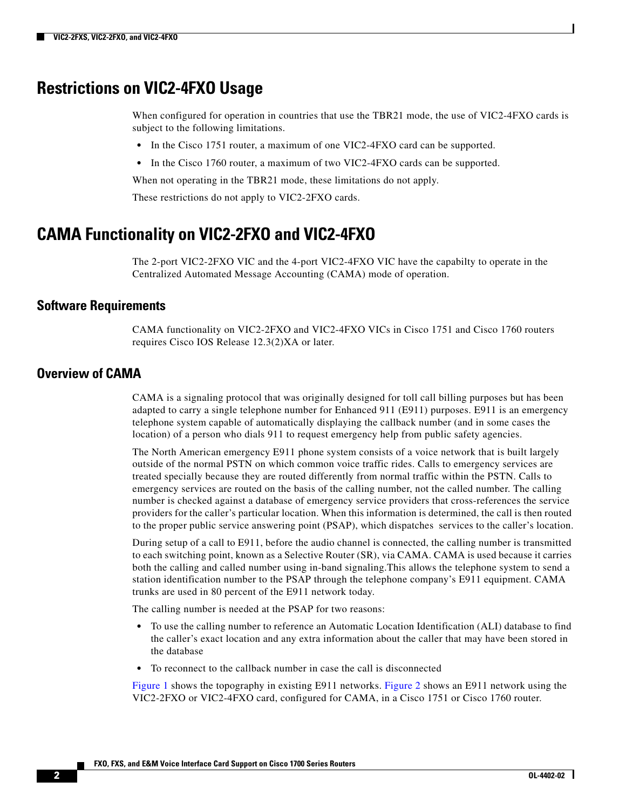### **Restrictions on VIC2-4FXO Usage**

When configured for operation in countries that use the TBR21 mode, the use of VIC2-4FXO cards is subject to the following limitations.

- In the Cisco 1751 router, a maximum of one VIC2-4FXO card can be supported.
- In the Cisco 1760 router, a maximum of two VIC2-4FXO cards can be supported.

When not operating in the TBR21 mode, these limitations do not apply.

These restrictions do not apply to VIC2-2FXO cards.

## **CAMA Functionality on VIC2-2FXO and VIC2-4FXO**

The 2-port VIC2-2FXO VIC and the 4-port VIC2-4FXO VIC have the capabilty to operate in the Centralized Automated Message Accounting (CAMA) mode of operation.

#### **Software Requirements**

CAMA functionality on VIC2-2FXO and VIC2-4FXO VICs in Cisco 1751 and Cisco 1760 routers requires Cisco IOS Release 12.3(2)XA or later.

#### **Overview of CAMA**

CAMA is a signaling protocol that was originally designed for toll call billing purposes but has been adapted to carry a single telephone number for Enhanced 911 (E911) purposes. E911 is an emergency telephone system capable of automatically displaying the callback number (and in some cases the location) of a person who dials 911 to request emergency help from public safety agencies.

The North American emergency E911 phone system consists of a voice network that is built largely outside of the normal PSTN on which common voice traffic rides. Calls to emergency services are treated specially because they are routed differently from normal traffic within the PSTN. Calls to emergency services are routed on the basis of the calling number, not the called number. The calling number is checked against a database of emergency service providers that cross-references the service providers for the caller's particular location. When this information is determined, the call is then routed to the proper public service answering point (PSAP), which dispatches services to the caller's location.

During setup of a call to E911, before the audio channel is connected, the calling number is transmitted to each switching point, known as a Selective Router (SR), via CAMA. CAMA is used because it carries both the calling and called number using in-band signaling.This allows the telephone system to send a station identification number to the PSAP through the telephone company's E911 equipment. CAMA trunks are used in 80 percent of the E911 network today.

The calling number is needed at the PSAP for two reasons:

- **•** To use the calling number to reference an Automatic Location Identification (ALI) database to find the caller's exact location and any extra information about the caller that may have been stored in the database
- **•** To reconnect to the callback number in case the call is disconnected

[Figure 1](#page-2-0) shows the topography in existing E911 networks. [Figure 2](#page-2-1) shows an E911 network using the VIC2-2FXO or VIC2-4FXO card, configured for CAMA, in a Cisco 1751 or Cisco 1760 router.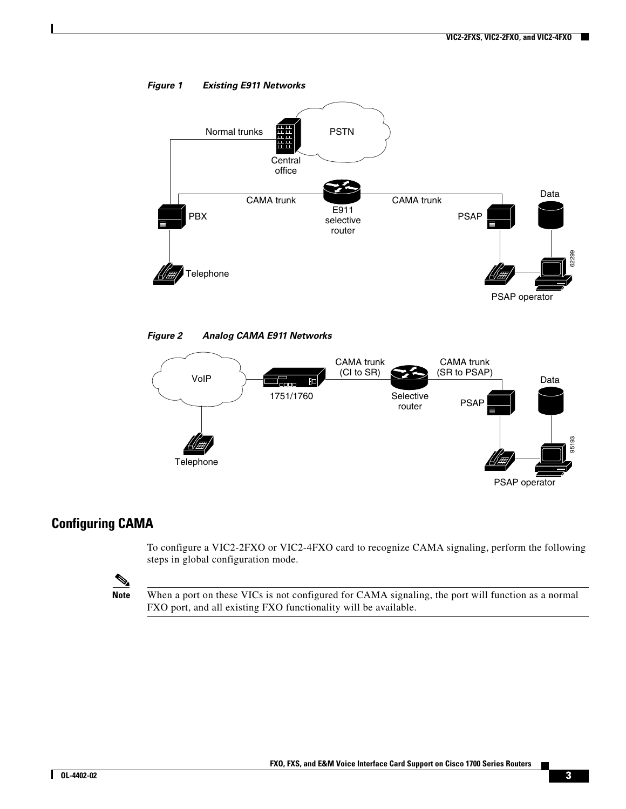<span id="page-2-0"></span>



<span id="page-2-1"></span>*Figure 2 Analog CAMA E911 Networks*



#### **Configuring CAMA**

To configure a VIC2-2FXO or VIC2-4FXO card to recognize CAMA signaling, perform the following steps in global configuration mode.

 $\mathscr{P}$ 

**Note** When a port on these VICs is not configured for CAMA signaling, the port will function as a normal FXO port, and all existing FXO functionality will be available.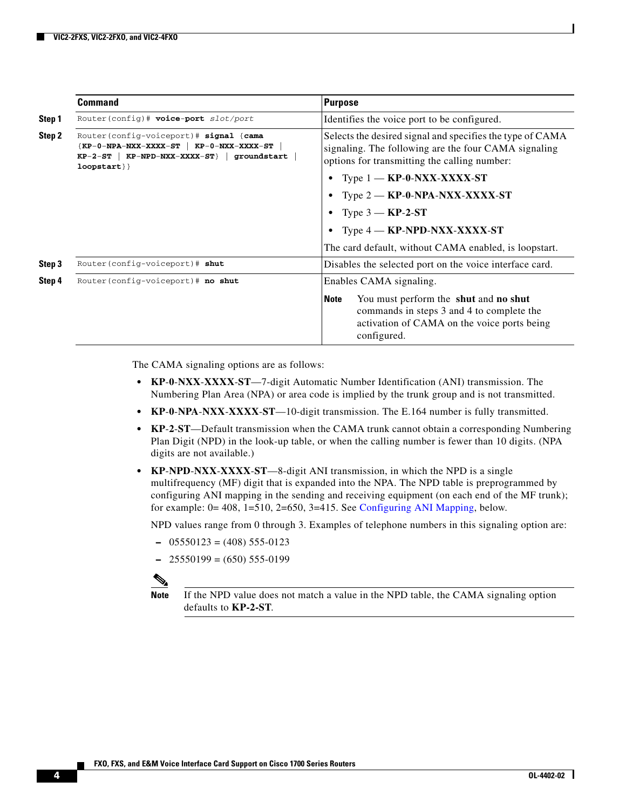|        | <b>Command</b>                                                                                                                                                   | <b>Purpose</b>                                                                                                                                                                                      |  |
|--------|------------------------------------------------------------------------------------------------------------------------------------------------------------------|-----------------------------------------------------------------------------------------------------------------------------------------------------------------------------------------------------|--|
| Step 1 | Router(config)# voice-port slot/port                                                                                                                             | Identifies the voice port to be configured.                                                                                                                                                         |  |
| Step 2 | Router (config-voiceport) # signal {cama<br>${KP-0-NPA-NXX-XXXX-T}$ $\bf{KP-0-NXX-XXX-T}$<br>$KP-2-ST$   $KP-NPD-NXX-XXXX-ST$ }   groundstart<br>$loopstart$ } } | Selects the desired signal and specifies the type of CAMA<br>signaling. The following are the four CAMA signaling<br>options for transmitting the calling number:<br>Type $1 - KP - 0-NXX-XXX - ST$ |  |
|        |                                                                                                                                                                  |                                                                                                                                                                                                     |  |
|        |                                                                                                                                                                  | Type $2 - KP - 0 - NPA - NXX - XXXX - ST$                                                                                                                                                           |  |
|        |                                                                                                                                                                  | Type $3 - KP-2ST$<br>Type $4 - KP-NPD-NXX-XXXX-ST$                                                                                                                                                  |  |
|        |                                                                                                                                                                  |                                                                                                                                                                                                     |  |
|        |                                                                                                                                                                  | The card default, without CAMA enabled, is loopstart.                                                                                                                                               |  |
| Step 3 | Router (config-voiceport) # shut                                                                                                                                 | Disables the selected port on the voice interface card.<br>Enables CAMA signaling.                                                                                                                  |  |
| Step 4 | Router (config-voiceport)# no shut                                                                                                                               |                                                                                                                                                                                                     |  |
|        |                                                                                                                                                                  | You must perform the shut and no shut<br><b>Note</b><br>commands in steps 3 and 4 to complete the<br>activation of CAMA on the voice ports being<br>configured.                                     |  |

The CAMA signaling options are as follows:

- **• KP**-**0**-**NXX**-**XXXX**-**ST**—7-digit Automatic Number Identification (ANI) transmission. The Numbering Plan Area (NPA) or area code is implied by the trunk group and is not transmitted.
- **• KP**-**0**-**NPA**-**NXX**-**XXXX**-**ST**—10-digit transmission. The E.164 number is fully transmitted.
- **• KP**-**2**-**ST**—Default transmission when the CAMA trunk cannot obtain a corresponding Numbering Plan Digit (NPD) in the look-up table, or when the calling number is fewer than 10 digits. (NPA digits are not available.)
- **• KP**-**NPD**-**NXX**-**XXXX**-**ST**—8-digit ANI transmission, in which the NPD is a single multifrequency (MF) digit that is expanded into the NPA. The NPD table is preprogrammed by configuring ANI mapping in the sending and receiving equipment (on each end of the MF trunk); for example: 0= 408, 1=510, 2=650, 3=415. See [Configuring ANI Mapping,](#page-4-0) below.

NPD values range from 0 through 3. Examples of telephone numbers in this signaling option are:

- **–** 05550123 = (408) 555-0123
- **–** 25550199 = (650) 555-0199



**Note** If the NPD value does not match a value in the NPD table, the CAMA signaling option defaults to **KP-2-ST**.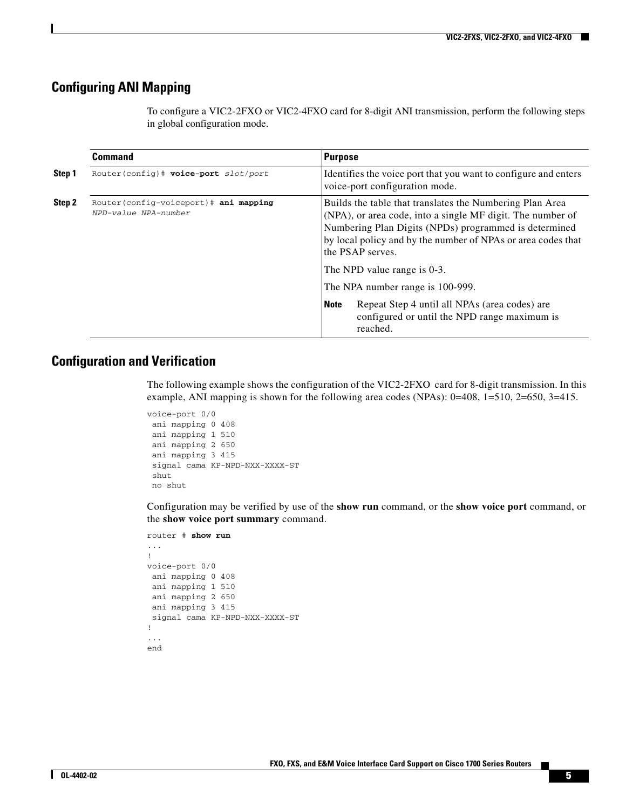#### <span id="page-4-0"></span>**Configuring ANI Mapping**

To configure a VIC2-2FXO or VIC2-4FXO card for 8-digit ANI transmission, perform the following steps in global configuration mode.

|        | <b>Command</b>                                                 | Purpose                                                                                                                                                                                                                                                                                            |                                                                                                           |  |
|--------|----------------------------------------------------------------|----------------------------------------------------------------------------------------------------------------------------------------------------------------------------------------------------------------------------------------------------------------------------------------------------|-----------------------------------------------------------------------------------------------------------|--|
| Step 1 | Router(config)# voice-port slot/port                           |                                                                                                                                                                                                                                                                                                    | Identifies the voice port that you want to configure and enters<br>voice-port configuration mode.         |  |
| Step 2 | Router (config-voiceport)# ani mapping<br>NPD-value NPA-number | Builds the table that translates the Numbering Plan Area<br>(NPA), or area code, into a single MF digit. The number of<br>Numbering Plan Digits (NPDs) programmed is determined<br>by local policy and by the number of NPAs or area codes that<br>the PSAP serves.<br>The NPD value range is 0-3. |                                                                                                           |  |
|        |                                                                | The NPA number range is 100-999.                                                                                                                                                                                                                                                                   |                                                                                                           |  |
|        |                                                                | <b>Note</b>                                                                                                                                                                                                                                                                                        | Repeat Step 4 until all NPAs (area codes) are<br>configured or until the NPD range maximum is<br>reached. |  |

#### **Configuration and Verification**

The following example shows the configuration of the VIC2-2FXO card for 8-digit transmission. In this example, ANI mapping is shown for the following area codes (NPAs): 0=408, 1=510, 2=650, 3=415.

```
voice-port 0/0
  ani mapping 0 408
  ani mapping 1 510
  ani mapping 2 650
  ani mapping 3 415
  signal cama KP-NPD-NXX-XXXX-ST
  shut
  no shut
```
Configuration may be verified by use of the **show run** command, or the **show voice port** command, or the **show voice port summary** command.

```
router # show run
...
!
voice-port 0/0 
  ani mapping 0 408
  ani mapping 1 510
  ani mapping 2 650
  ani mapping 3 415
  signal cama KP-NPD-NXX-XXXX-ST
!
...
end
```
Г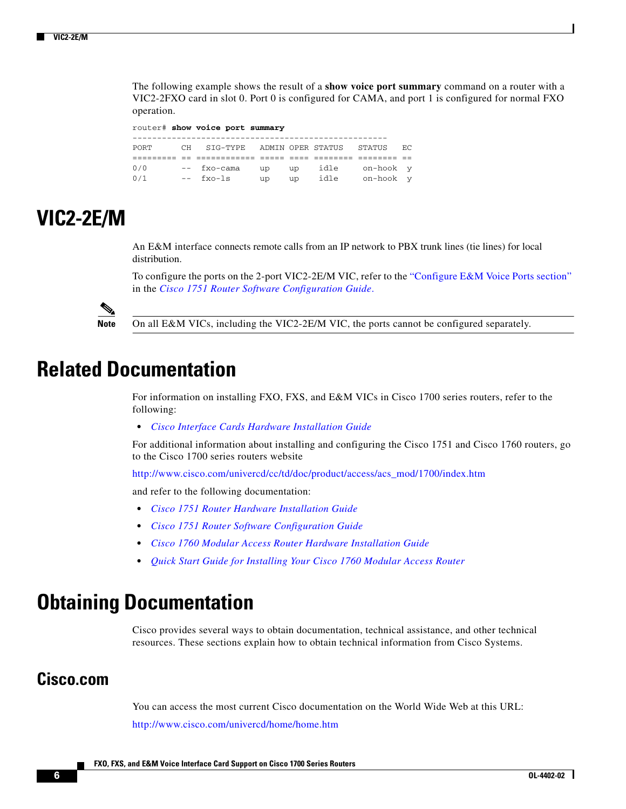The following example shows the result of a **show voice port summary** command on a router with a VIC2-2FXO card in slot 0. Port 0 is configured for CAMA, and port 1 is configured for normal FXO operation.

router# **show voice port summary** ---------------------------------------------------- PORT CH SIG-TYPE ADMIN OPER STATUS STATUS EC ========= == ============ ===== ==== ======== ======== == 0/0 -- fxo-cama up up idle on-hook y 0/1 -- fxo-ls up up idle on-hook y

## <span id="page-5-0"></span>**VIC2-2E/M**

An E&M interface connects remote calls from an IP network to PBX trunk lines (tie lines) for local distribution.

To configure the ports on the 2-port VIC2-2E/M VIC, refer to the ["Configure E&M Voice Ports section"](http://www.cisco.com/en/US/docs/routers/access/1700/1751/software/configuration/guide/Config.html#wp1029249) in the *[Cisco 1751 Router Software Configuration Guide](http://www.cisco.com/en/US/docs/routers/access/1700/1751/software/configuration/guide/1751swg.html)*.



**Note** On all E&M VICs, including the VIC2-2E/M VIC, the ports cannot be configured separately.

## <span id="page-5-1"></span>**Related Documentation**

For information on installing FXO, FXS, and E&M VICs in Cisco 1700 series routers, refer to the following:

**•** *[Cisco Interface Cards Hardware Installation Guide](http://www.cisco.com/en/US/docs/routers/access/interfaces/ic/hardware/installation/guide/old/wic_doc.html)*

For additional information about installing and configuring the Cisco 1751 and Cisco 1760 routers, go to the Cisco 1700 series routers website

[http://www.cisco.com/univercd/cc/td/doc/product/access/acs\\_mod/1700/index.htm](http://www.cisco.com/univercd/cc/td/doc/product/access/acs_mod/1700/index.htm)

and refer to the following documentation:

- **•** *[Cisco 1751 Router Hardware Installation Guide](http://www.cisco.com/en/US/docs/routers/access/1700/1751/hardware/installation/guide/1751hig.html)*
- **•** *[Cisco 1751 Router Software Configuration Guide](http://www.cisco.com/en/US/docs/routers/access/1700/1751/software/configuration/guide/1751swg.html)*
- **•** *[Cisco 1760 Modular Access Router Hardware Installation Guide](/en/US/docs/routers/access/1700/1760/hardware/installation/guide/1760hig.html)*
- **•** *[Quick Start Guide for Installing Your Cisco 1760 Modular Access Router](/en/US/docs/routers/access/1700/1760/hardware/quick/guide/1760qsg.html)*

## <span id="page-5-2"></span>**Obtaining Documentation**

Cisco provides several ways to obtain documentation, technical assistance, and other technical resources. These sections explain how to obtain technical information from Cisco Systems.

#### **Cisco.com**

You can access the most current Cisco documentation on the World Wide Web at this URL:

<http://www.cisco.com/univercd/home/home.htm>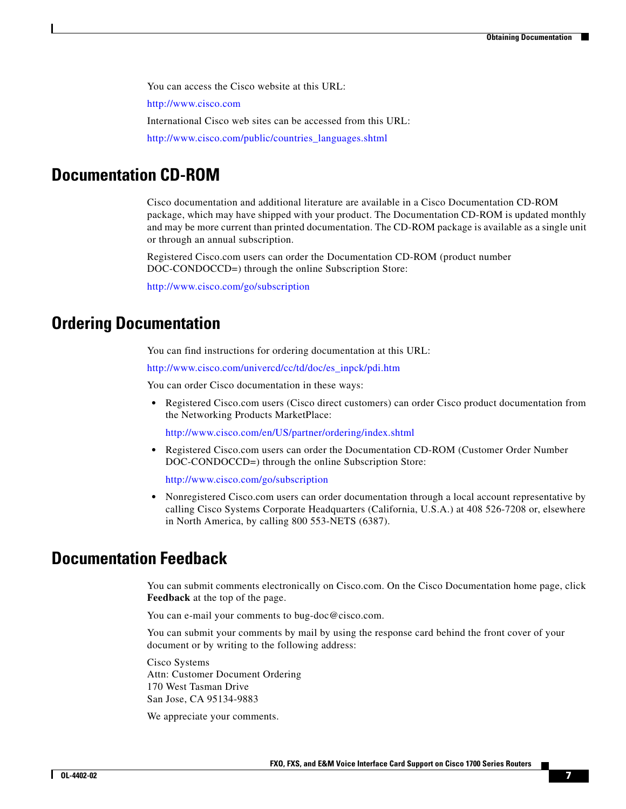You can access the Cisco website at this URL:

<http://www.cisco.com>

International Cisco web sites can be accessed from this URL:

[http://www.cisco.com/public/countries\\_languages.shtml](http://www.cisco.com/public/countries_languages.shtml)

### **Documentation CD-ROM**

Cisco documentation and additional literature are available in a Cisco Documentation CD-ROM package, which may have shipped with your product. The Documentation CD-ROM is updated monthly and may be more current than printed documentation. The CD-ROM package is available as a single unit or through an annual subscription.

Registered Cisco.com users can order the Documentation CD-ROM (product number DOC-CONDOCCD=) through the online Subscription Store:

<http://www.cisco.com/go/subscription>

### **Ordering Documentation**

You can find instructions for ordering documentation at this URL:

[http://www.cisco.com/univercd/cc/td/doc/es\\_inpck/pdi.htm](http://www.cisco.com/univercd/cc/td/doc/es_inpck/pdi.htm)

You can order Cisco documentation in these ways:

**•** Registered Cisco.com users (Cisco direct customers) can order Cisco product documentation from the Networking Products MarketPlace:

<http://www.cisco.com/en/US/partner/ordering/index.shtml>

**•** Registered Cisco.com users can order the Documentation CD-ROM (Customer Order Number DOC-CONDOCCD=) through the online Subscription Store:

<http://www.cisco.com/go/subscription>

**•** Nonregistered Cisco.com users can order documentation through a local account representative by calling Cisco Systems Corporate Headquarters (California, U.S.A.) at 408 526-7208 or, elsewhere in North America, by calling 800 553-NETS (6387).

### **Documentation Feedback**

You can submit comments electronically on Cisco.com. On the Cisco Documentation home page, click **Feedback** at the top of the page.

You can e-mail your comments to bug-doc@cisco.com.

You can submit your comments by mail by using the response card behind the front cover of your document or by writing to the following address:

Cisco Systems Attn: Customer Document Ordering 170 West Tasman Drive San Jose, CA 95134-9883

We appreciate your comments.

Г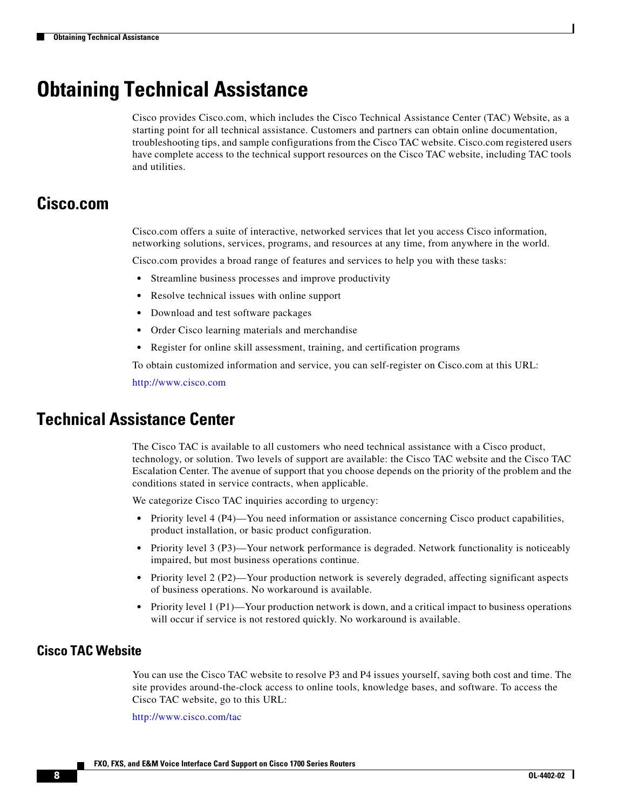## <span id="page-7-0"></span>**Obtaining Technical Assistance**

Cisco provides Cisco.com, which includes the Cisco Technical Assistance Center (TAC) Website, as a starting point for all technical assistance. Customers and partners can obtain online documentation, troubleshooting tips, and sample configurations from the Cisco TAC website. Cisco.com registered users have complete access to the technical support resources on the Cisco TAC website, including TAC tools and utilities.

### **Cisco.com**

Cisco.com offers a suite of interactive, networked services that let you access Cisco information, networking solutions, services, programs, and resources at any time, from anywhere in the world.

Cisco.com provides a broad range of features and services to help you with these tasks:

- **•** Streamline business processes and improve productivity
- **•** Resolve technical issues with online support
- **•** Download and test software packages
- **•** Order Cisco learning materials and merchandise
- **•** Register for online skill assessment, training, and certification programs

To obtain customized information and service, you can self-register on Cisco.com at this URL:

<http://www.cisco.com>

### **Technical Assistance Center**

The Cisco TAC is available to all customers who need technical assistance with a Cisco product, technology, or solution. Two levels of support are available: the Cisco TAC website and the Cisco TAC Escalation Center. The avenue of support that you choose depends on the priority of the problem and the conditions stated in service contracts, when applicable.

We categorize Cisco TAC inquiries according to urgency:

- Priority level 4 (P4)—You need information or assistance concerning Cisco product capabilities, product installation, or basic product configuration.
- Priority level 3 (P3)—Your network performance is degraded. Network functionality is noticeably impaired, but most business operations continue.
- Priority level 2 (P2)—Your production network is severely degraded, affecting significant aspects of business operations. No workaround is available.
- Priority level 1 (P1)—Your production network is down, and a critical impact to business operations will occur if service is not restored quickly. No workaround is available.

#### **Cisco TAC Website**

You can use the Cisco TAC website to resolve P3 and P4 issues yourself, saving both cost and time. The site provides around-the-clock access to online tools, knowledge bases, and software. To access the Cisco TAC website, go to this URL:

<http://www.cisco.com/tac>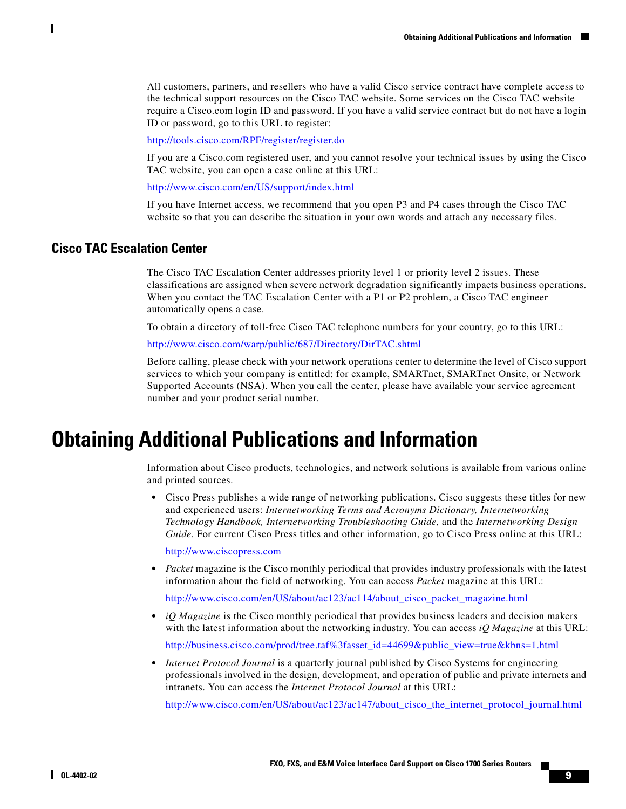All customers, partners, and resellers who have a valid Cisco service contract have complete access to the technical support resources on the Cisco TAC website. Some services on the Cisco TAC website require a Cisco.com login ID and password. If you have a valid service contract but do not have a login ID or password, go to this URL to register:

<http://tools.cisco.com/RPF/register/register.do>

If you are a Cisco.com registered user, and you cannot resolve your technical issues by using the Cisco TAC website, you can open a case online at this URL:

<http://www.cisco.com/en/US/support/index.html>

If you have Internet access, we recommend that you open P3 and P4 cases through the Cisco TAC website so that you can describe the situation in your own words and attach any necessary files.

#### **Cisco TAC Escalation Center**

The Cisco TAC Escalation Center addresses priority level 1 or priority level 2 issues. These classifications are assigned when severe network degradation significantly impacts business operations. When you contact the TAC Escalation Center with a P1 or P2 problem, a Cisco TAC engineer automatically opens a case.

To obtain a directory of toll-free Cisco TAC telephone numbers for your country, go to this URL:

<http://www.cisco.com/warp/public/687/Directory/DirTAC.shtml>

Before calling, please check with your network operations center to determine the level of Cisco support services to which your company is entitled: for example, SMARTnet, SMARTnet Onsite, or Network Supported Accounts (NSA). When you call the center, please have available your service agreement number and your product serial number.

## **Obtaining Additional Publications and Information**

Information about Cisco products, technologies, and network solutions is available from various online and printed sources.

• Cisco Press publishes a wide range of networking publications. Cisco suggests these titles for new and experienced users: *Internetworking Terms and Acronyms Dictionary, Internetworking Technology Handbook, Internetworking Troubleshooting Guide,* and the *Internetworking Design Guide.* For current Cisco Press titles and other information, go to Cisco Press online at this URL:

<http://www.ciscopress.com>

• *Packet* magazine is the Cisco monthly periodical that provides industry professionals with the latest information about the field of networking. You can access *Packet* magazine at this URL:

[http://www.cisco.com/en/US/about/ac123/ac114/about\\_cisco\\_packet\\_magazine.html](http://www.cisco.com/en/US/about/ac123/ac114/about_cisco_packet_magazine.html)

• *iQ Magazine* is the Cisco monthly periodical that provides business leaders and decision makers with the latest information about the networking industry. You can access *iQ Magazine* at this URL:

[http://business.cisco.com/prod/tree.taf%3fasset\\_id=44699&public\\_view=true&kbns=1.html](http://business.cisco.com/prod/tree.taf%3fasset_id=44699&public_view=true&kbns=1.html)

**•** *Internet Protocol Journal* is a quarterly journal published by Cisco Systems for engineering professionals involved in the design, development, and operation of public and private internets and intranets. You can access the *Internet Protocol Journal* at this URL:

[http://www.cisco.com/en/US/about/ac123/ac147/about\\_cisco\\_the\\_internet\\_protocol\\_journal.html](http://www.cisco.com/en/US/about/ac123/ac147/about_cisco_the_internet_protocol_journal.html)

Г